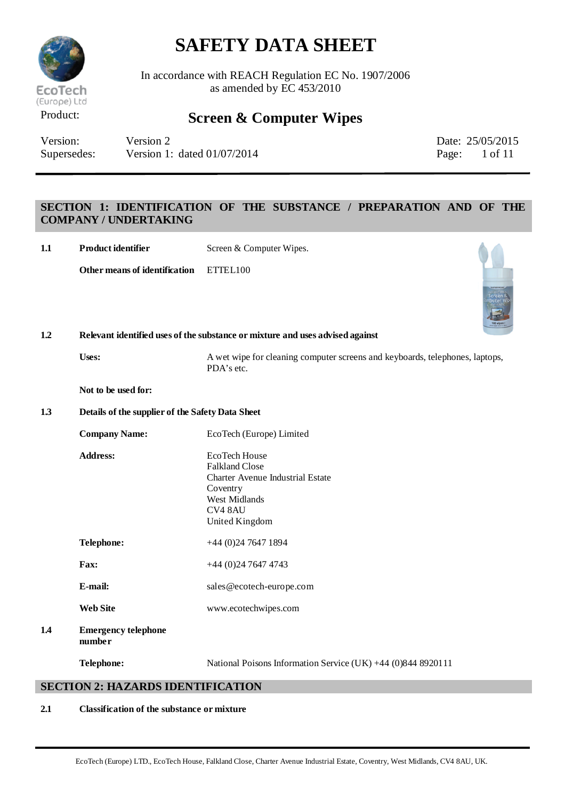

In accordance with REACH Regulation EC No. 1907/2006 as amended by EC 453/2010

### Product: **Screen & Computer Wipes**

| Version:    | Version 2                     |       | Date: 25/05/201 |
|-------------|-------------------------------|-------|-----------------|
| Supersedes: | Version 1: dated $01/07/2014$ | Page: | 1 of 11         |

Date: 25/05/2015

### **SECTION 1: IDENTIFICATION OF THE SUBSTANCE / PREPARATION AND OF THE COMPANY / UNDERTAKING**

| 1.1 | Product identifier                               | Screen & Computer Wipes.                                                                                                                    |
|-----|--------------------------------------------------|---------------------------------------------------------------------------------------------------------------------------------------------|
|     | Other means of identification                    | ETTEL100<br>Screen<br>Puter                                                                                                                 |
| 1.2 |                                                  | Relevant identified uses of the substance or mixture and uses advised against                                                               |
|     | Uses:                                            | A wet wipe for cleaning computer screens and keyboards, telephones, laptops,<br>PDA's etc.                                                  |
|     | Not to be used for:                              |                                                                                                                                             |
| 1.3 | Details of the supplier of the Safety Data Sheet |                                                                                                                                             |
|     | <b>Company Name:</b>                             | EcoTech (Europe) Limited                                                                                                                    |
|     | <b>Address:</b>                                  | EcoTech House<br><b>Falkland Close</b><br><b>Charter Avenue Industrial Estate</b><br>Coventry<br>West Midlands<br>CV4 8AU<br>United Kingdom |
|     | Telephone:                                       | $+44$ (0)24 7647 1894                                                                                                                       |
|     | Fax:                                             | $+44$ (0)24 7647 4743                                                                                                                       |
|     | E-mail:                                          | sales@ecotech-europe.com                                                                                                                    |
|     | <b>Web Site</b>                                  | www.ecotechwipes.com                                                                                                                        |
| 1.4 | <b>Emergency telephone</b><br>number             |                                                                                                                                             |
|     | Telephone:                                       | National Poisons Information Service (UK) +44 (0)844 8920111                                                                                |
|     | <b>SECTION 2: HAZARDS IDENTIFICATION</b>         |                                                                                                                                             |

### **2.1 Classification of the substance or mixture**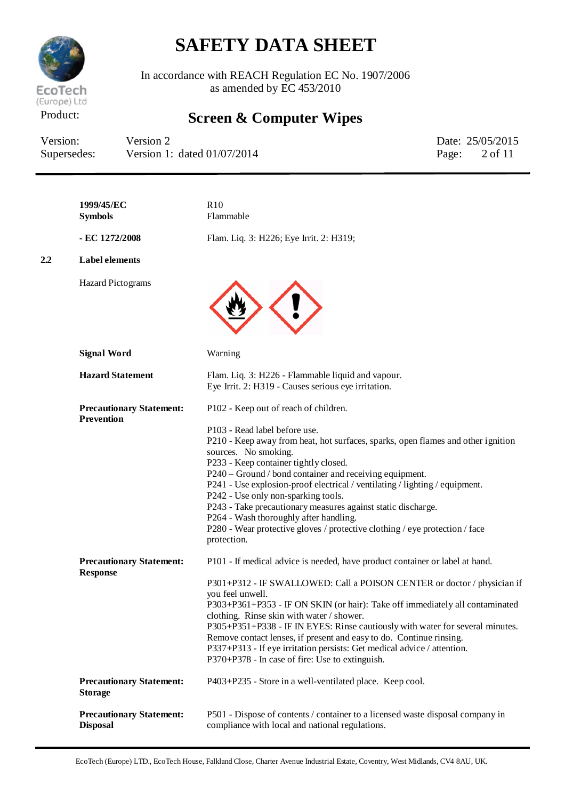

In accordance with REACH Regulation EC No. 1907/2006 as amended by EC 453/2010

## Product: **Screen & Computer Wipes**

| Version:    | Version 2                     | Date: 25/05/2015         |
|-------------|-------------------------------|--------------------------|
| Supersedes: | Version 1: dated $01/07/2014$ | Page: $2 \text{ of } 11$ |

|     | 1999/45/EC<br><b>Symbols</b>                         | R10<br>Flammable                                                                                                                                                                                                                                                                                                                                                                                                                                                                                                                                                                                                     |
|-----|------------------------------------------------------|----------------------------------------------------------------------------------------------------------------------------------------------------------------------------------------------------------------------------------------------------------------------------------------------------------------------------------------------------------------------------------------------------------------------------------------------------------------------------------------------------------------------------------------------------------------------------------------------------------------------|
|     | - EC 1272/2008                                       | Flam. Liq. 3: H226; Eye Irrit. 2: H319;                                                                                                                                                                                                                                                                                                                                                                                                                                                                                                                                                                              |
| 2.2 | <b>Label elements</b>                                |                                                                                                                                                                                                                                                                                                                                                                                                                                                                                                                                                                                                                      |
|     | <b>Hazard Pictograms</b>                             |                                                                                                                                                                                                                                                                                                                                                                                                                                                                                                                                                                                                                      |
|     | <b>Signal Word</b>                                   | Warning                                                                                                                                                                                                                                                                                                                                                                                                                                                                                                                                                                                                              |
|     | <b>Hazard Statement</b>                              | Flam. Liq. 3: H226 - Flammable liquid and vapour.<br>Eye Irrit. 2: H319 - Causes serious eye irritation.                                                                                                                                                                                                                                                                                                                                                                                                                                                                                                             |
|     | <b>Precautionary Statement:</b><br><b>Prevention</b> | P102 - Keep out of reach of children.<br>P103 - Read label before use.<br>P210 - Keep away from heat, hot surfaces, sparks, open flames and other ignition<br>sources. No smoking.<br>P233 - Keep container tightly closed.<br>P240 – Ground / bond container and receiving equipment.<br>P241 - Use explosion-proof electrical / ventilating / lighting / equipment.<br>P242 - Use only non-sparking tools.<br>P243 - Take precautionary measures against static discharge.<br>P264 - Wash thoroughly after handling.<br>P280 - Wear protective gloves / protective clothing / eye protection / face<br>protection. |
|     | <b>Precautionary Statement:</b><br><b>Response</b>   | P101 - If medical advice is needed, have product container or label at hand.<br>P301+P312 - IF SWALLOWED: Call a POISON CENTER or doctor / physician if<br>you feel unwell.<br>P303+P361+P353 - IF ON SKIN (or hair): Take off immediately all contaminated<br>clothing. Rinse skin with water / shower.<br>P305+P351+P338 - IF IN EYES: Rinse cautiously with water for several minutes.<br>Remove contact lenses, if present and easy to do. Continue rinsing.<br>P337+P313 - If eye irritation persists: Get medical advice / attention.<br>P370+P378 - In case of fire: Use to extinguish.                       |
|     | <b>Precautionary Statement:</b><br><b>Storage</b>    | P403+P235 - Store in a well-ventilated place. Keep cool.                                                                                                                                                                                                                                                                                                                                                                                                                                                                                                                                                             |
|     | <b>Precautionary Statement:</b><br><b>Disposal</b>   | P501 - Dispose of contents / container to a licensed waste disposal company in<br>compliance with local and national regulations.                                                                                                                                                                                                                                                                                                                                                                                                                                                                                    |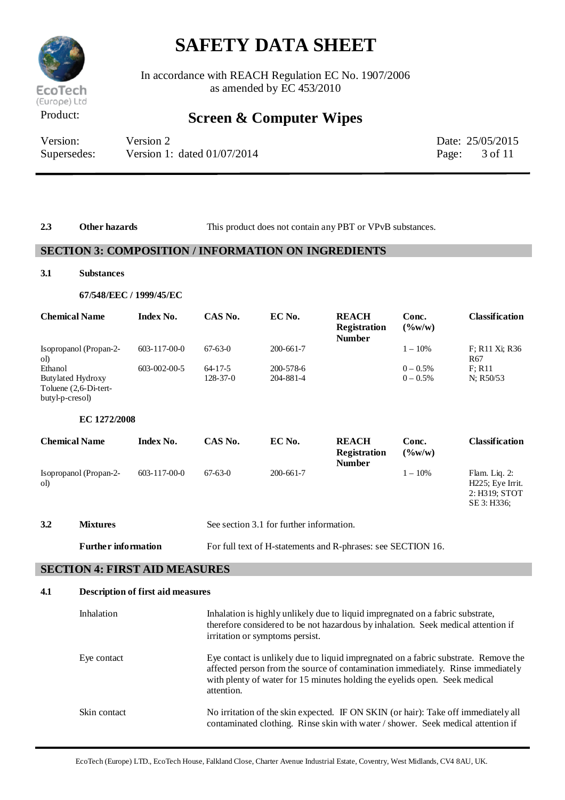

In accordance with REACH Regulation EC No. 1907/2006 as amended by EC 453/2010

## Product: **Screen & Computer Wipes**

| Version:    | Version 2                     | Date: 25/05/2015         |
|-------------|-------------------------------|--------------------------|
| Supersedes: | Version 1: dated $01/07/2014$ | Page: $3 \text{ of } 11$ |

2.3 **Other hazards** This product does not contain any PBT or VPvB substances.

#### **SECTION 3: COMPOSITION / INFORMATION ON INGREDIENTS**

#### **3.1 Substances**

#### **67/548/EEC / 1999/45/EC**

| <b>Chemical Name</b>                                                 | <b>Index No.</b>     | CAS No.        | EC No.                                   | <b>REACH</b><br><b>Registration</b><br><b>Number</b> | Conc.<br>$(\frac{6}{W})$    | <b>Classification</b>                                                  |
|----------------------------------------------------------------------|----------------------|----------------|------------------------------------------|------------------------------------------------------|-----------------------------|------------------------------------------------------------------------|
| Isopropanol (Propan-2-<br>ol)                                        | $603 - 117 - 00 - 0$ | $67-63-0$      | $200 - 661 - 7$                          |                                                      | $1 - 10\%$                  | F; R <sub>11</sub> X <sub>i</sub> ; R <sub>36</sub><br>R <sub>67</sub> |
| Ethanol                                                              | 603-002-00-5         | $64-17-5$      | 200-578-6                                |                                                      | $0 - 0.5%$                  | F: R11                                                                 |
| <b>Butylated Hydroxy</b><br>Toluene (2,6-Di-tert-<br>butyl-p-cresol) |                      | $128 - 37 - 0$ | 204-881-4                                |                                                      | $0 - 0.5%$                  | N; R50/53                                                              |
| EC 1272/2008                                                         |                      |                |                                          |                                                      |                             |                                                                        |
| <b>Chemical Name</b>                                                 | <b>Index No.</b>     | CAS No.        | EC No.                                   | <b>REACH</b><br><b>Registration</b><br><b>Number</b> | Conc.<br>$(\frac{9}{6}W/W)$ | <b>Classification</b>                                                  |
| Isopropanol (Propan-2-<br>ol)                                        | $603 - 117 - 00 - 0$ | $67-63-0$      | $200 - 661 - 7$                          |                                                      | $1 - 10\%$                  | Flam. Liq. 2:<br>H225; Eye Irrit.<br>2: H319; STOT<br>SE 3: H336;      |
| 3.2<br><b>Mixtures</b>                                               |                      |                | See section 3.1 for further information. |                                                      |                             |                                                                        |

**Further information** For full text of H-statements and R-phrases: see SECTION 16.

### **SECTION 4: FIRST AID MEASURES**

| 4.1 | <b>Description of first aid measures</b> |                                                                                                                                                                                                                                                                    |
|-----|------------------------------------------|--------------------------------------------------------------------------------------------------------------------------------------------------------------------------------------------------------------------------------------------------------------------|
|     | Inhalation                               | Inhalation is highly unlikely due to liquid impregnated on a fabric substrate,<br>therefore considered to be not hazardous by inhalation. Seek medical attention if<br>irritation or symptoms persist.                                                             |
|     | Eye contact                              | Eye contact is unlikely due to liquid impregnated on a fabric substrate. Remove the<br>affected person from the source of contamination immediately. Rinse immediately<br>with plenty of water for 15 minutes holding the eyelids open. Seek medical<br>attention. |
|     | Skin contact                             | No irritation of the skin expected. IF ON SKIN (or hair): Take off immediately all<br>contaminated clothing. Rinse skin with water / shower. Seek medical attention if                                                                                             |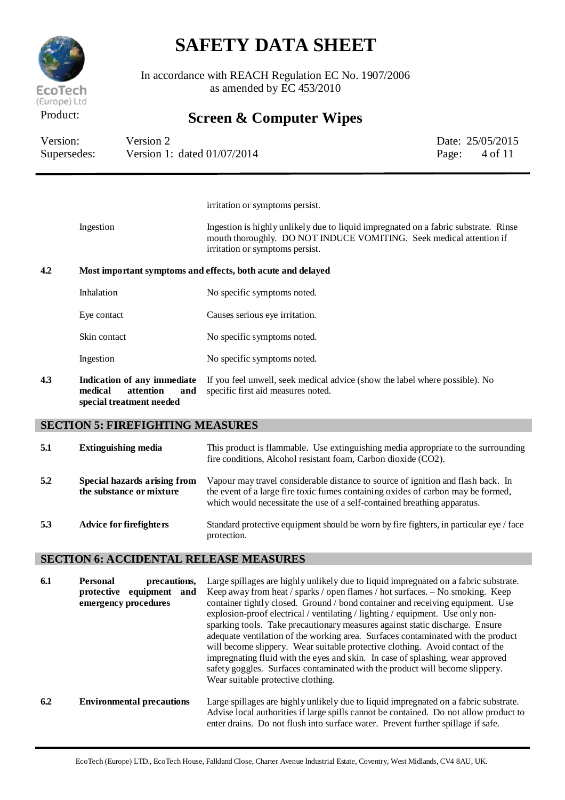

In accordance with REACH Regulation EC No. 1907/2006 as amended by EC 453/2010

### Product: **Screen & Computer Wipes**

| Version:    | Version 2                   |       | Date: 25/05/2015 |
|-------------|-----------------------------|-------|------------------|
| Supersedes: | Version 1: dated 01/07/2014 | Page: | 4 of 11          |

irritation or symptoms persist.

Ingestion Ingestion is highly unlikely due to liquid impregnated on a fabric substrate. Rinse mouth thoroughly. DO NOT INDUCE VOMITING. Seek medical attention if irritation or symptoms persist.

#### **4.2 Most important symptoms and effects, both acute and delayed**

| Inhalation   | No specific symptoms noted.    |
|--------------|--------------------------------|
| Eye contact  | Causes serious eye irritation. |
| Skin contact | No specific symptoms noted.    |
| Ingestion    | No specific symptoms noted.    |
|              |                                |

**4.3 Indication of any immediate** If you feel unwell, seek medical advice (show the label where possible). No **medical attention and special treatment needed** specific first aid measures noted.

#### **SECTION 5: FIREFIGHTING MEASURES**

| 5.1 | <b>Extinguishing media</b>                               | This product is flammable. Use extinguishing media appropriate to the surrounding<br>fire conditions, Alcohol resistant foam, Carbon dioxide (CO2).                                                                                              |
|-----|----------------------------------------------------------|--------------------------------------------------------------------------------------------------------------------------------------------------------------------------------------------------------------------------------------------------|
| 5.2 | Special hazards arising from<br>the substance or mixture | Vapour may travel considerable distance to source of ignition and flash back. In<br>the event of a large fire toxic fumes containing oxides of carbon may be formed,<br>which would necessitate the use of a self-contained breathing apparatus. |
| 5.3 | <b>Advice for firefighters</b>                           | Standard protective equipment should be worn by fire fighters, in particular eye / face<br>protection.                                                                                                                                           |

#### **SECTION 6: ACCIDENTAL RELEASE MEASURES**

| 6.1 | <b>Personal</b><br>precautions.<br>equipment<br>protective<br>and<br>emergency procedures | Large spillages are highly unlikely due to liquid impregnated on a fabric substrate.<br>Keep away from heat / sparks / open flames / hot surfaces. - No smoking. Keep<br>container tightly closed. Ground / bond container and receiving equipment. Use<br>explosion-proof electrical / ventilating / lighting / equipment. Use only non-<br>sparking tools. Take precautionary measures against static discharge. Ensure<br>adequate ventilation of the working area. Surfaces contaminated with the product<br>will become slippery. Wear suitable protective clothing. Avoid contact of the<br>impregnating fluid with the eyes and skin. In case of splashing, wear approved<br>safety goggles. Surfaces contaminated with the product will become slippery.<br>Wear suitable protective clothing. |
|-----|-------------------------------------------------------------------------------------------|--------------------------------------------------------------------------------------------------------------------------------------------------------------------------------------------------------------------------------------------------------------------------------------------------------------------------------------------------------------------------------------------------------------------------------------------------------------------------------------------------------------------------------------------------------------------------------------------------------------------------------------------------------------------------------------------------------------------------------------------------------------------------------------------------------|
| 6.2 | <b>Environmental precautions</b>                                                          | Large spillages are highly unlikely due to liquid impregnated on a fabric substrate.<br>Advise local authorities if large spills cannot be contained. Do not allow product to<br>enter drains. Do not flush into surface water. Prevent further spillage if safe.                                                                                                                                                                                                                                                                                                                                                                                                                                                                                                                                      |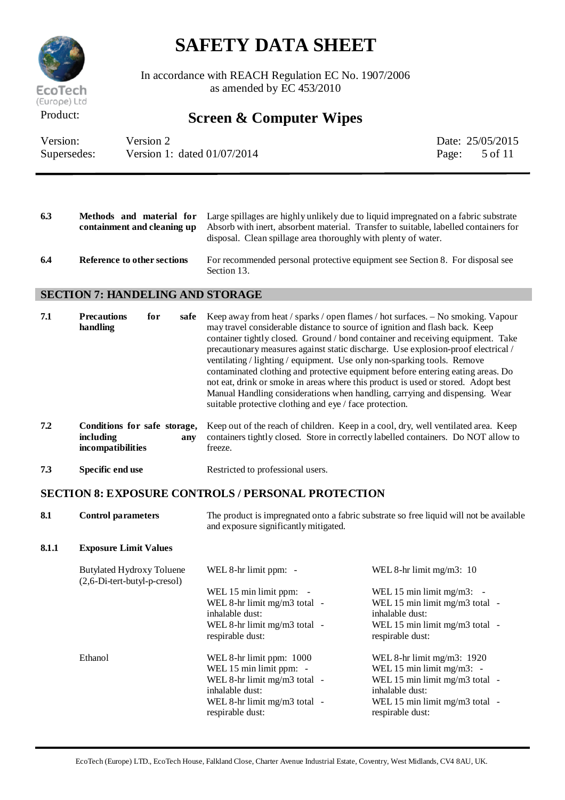

In accordance with REACH Regulation EC No. 1907/2006 as amended by  $EC$  453/2010

## Product: **Screen & Computer Wipes**

| Version:    | Version 2                     | Date: 25/05/2015         |
|-------------|-------------------------------|--------------------------|
| Supersedes: | Version 1: dated $01/07/2014$ | Page: $5 \text{ of } 11$ |

| 6.3 | containment and cleaning up | <b>Methods</b> and material for Large spillages are highly unlikely due to liquid impregnated on a fabric substrate<br>Absorb with inert, absorbent material. Transfer to suitable, labelled containers for<br>disposal. Clean spillage area thoroughly with plenty of water. |
|-----|-----------------------------|-------------------------------------------------------------------------------------------------------------------------------------------------------------------------------------------------------------------------------------------------------------------------------|
| 6.4 | Reference to other sections | For recommended personal protective equipment see Section 8. For disposal see<br>Section 13.                                                                                                                                                                                  |

#### **SECTION 7: HANDELING AND STORAGE**

| 7.1 | <b>Precautions</b><br>handling                                        | for<br>safe | Keep away from heat / sparks / open flames / hot surfaces. - No smoking. Vapour<br>may travel considerable distance to source of ignition and flash back. Keep<br>container tightly closed. Ground / bond container and receiving equipment. Take<br>precautionary measures against static discharge. Use explosion-proof electrical /<br>ventilating / lighting / equipment. Use only non-sparking tools. Remove<br>contaminated clothing and protective equipment before entering eating areas. Do<br>not eat, drink or smoke in areas where this product is used or stored. Adopt best<br>Manual Handling considerations when handling, carrying and dispensing. Wear<br>suitable protective clothing and eye / face protection. |
|-----|-----------------------------------------------------------------------|-------------|-------------------------------------------------------------------------------------------------------------------------------------------------------------------------------------------------------------------------------------------------------------------------------------------------------------------------------------------------------------------------------------------------------------------------------------------------------------------------------------------------------------------------------------------------------------------------------------------------------------------------------------------------------------------------------------------------------------------------------------|
| 7.2 | Conditions for safe storage,<br><i>including</i><br>incompatibilities | anv         | Keep out of the reach of children. Keep in a cool, dry, well ventilated area. Keep<br>containers tightly closed. Store in correctly labelled containers. Do NOT allow to<br>freeze.                                                                                                                                                                                                                                                                                                                                                                                                                                                                                                                                                 |

**7.3 Specific end use** Restricted to professional users.

### **SECTION 8: EXPOSURE CONTROLS / PERSONAL PROTECTION**

| 8.1   | <b>Control parameters</b>                                          | The product is impregnated onto a fabric substrate so free liquid will not be available<br>and exposure significantly mitigated.                             |                                                                                                                                                                        |
|-------|--------------------------------------------------------------------|--------------------------------------------------------------------------------------------------------------------------------------------------------------|------------------------------------------------------------------------------------------------------------------------------------------------------------------------|
| 8.1.1 | <b>Exposure Limit Values</b>                                       |                                                                                                                                                              |                                                                                                                                                                        |
|       | <b>Butylated Hydroxy Toluene</b><br>$(2,6-Di-tert-butyl-p-cresol)$ | WEL 8-hr limit ppm: -                                                                                                                                        | WEL 8-hr limit mg/m3: $10$                                                                                                                                             |
|       |                                                                    | WEL 15 min limit ppm: -<br>WEL 8-hr limit mg/m3 total -<br>inhalable dust:<br>WEL 8-hr limit $mg/m3$ total -<br>respirable dust:                             | WEL 15 min limit $mg/m3$ : -<br>WEL 15 min limit mg/m3 total -<br>inhalable dust:<br>WEL 15 min limit mg/m3 total -<br>respirable dust:                                |
|       | Ethanol                                                            | WEL 8-hr limit ppm: 1000<br>WEL 15 min limit ppm: -<br>WEL 8-hr limit mg/m3 total -<br>inhalable dust:<br>WEL 8-hr limit $mg/m3$ total -<br>respirable dust: | WEL 8-hr limit mg/m3: $1920$<br>WEL 15 min limit mg/m3: $-$<br>WEL 15 min limit mg/m3 total -<br>inhalable dust:<br>WEL 15 min limit mg/m3 total -<br>respirable dust: |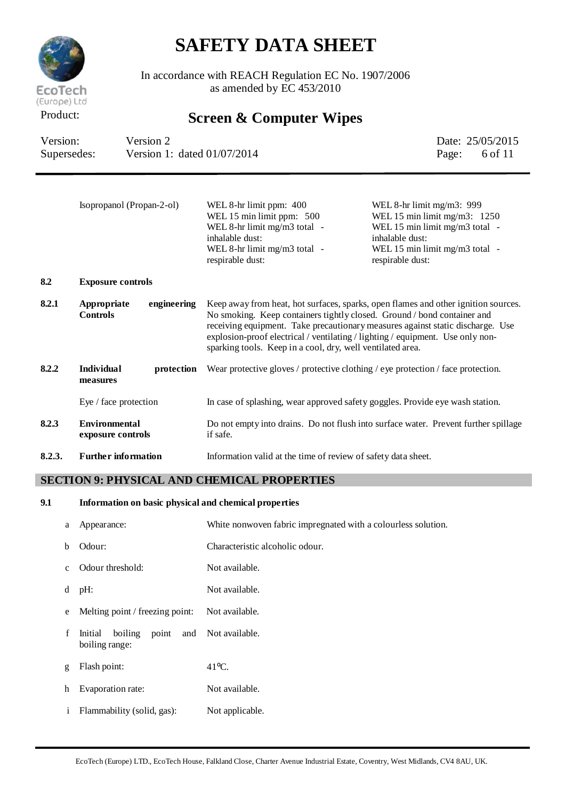

In accordance with REACH Regulation EC No. 1907/2006 as amended by  $EC$  453/2010

## Product: **Screen & Computer Wipes**

| Version:    | Version 2                   | Date: 25/05/2015         |
|-------------|-----------------------------|--------------------------|
| Supersedes: | Version 1: dated 01/07/2014 | Page: $6 \text{ of } 11$ |

|        | Isopropanol (Propan-2-ol)                     | WEL 8-hr limit ppm: 400<br>WEL 15 min limit ppm: 500<br>WEL 8-hr limit mg/m3 total -<br>inhalable dust:<br>WEL 8-hr limit mg/m3 total -<br>respirable dust:                                                                                                                                               | WEL 8-hr limit mg/m3: 999<br>WEL 15 min limit mg/m3: $1250$<br>WEL 15 min limit mg/m3 total -<br>inhalable dust:<br>WEL 15 min limit mg/m3 total -<br>respirable dust: |
|--------|-----------------------------------------------|-----------------------------------------------------------------------------------------------------------------------------------------------------------------------------------------------------------------------------------------------------------------------------------------------------------|------------------------------------------------------------------------------------------------------------------------------------------------------------------------|
| 8.2    | <b>Exposure controls</b>                      |                                                                                                                                                                                                                                                                                                           |                                                                                                                                                                        |
| 8.2.1  | Appropriate<br>engineering<br><b>Controls</b> | No smoking. Keep containers tightly closed. Ground / bond container and<br>receiving equipment. Take precautionary measures against static discharge. Use<br>explosion-proof electrical / ventilating / lighting / equipment. Use only non-<br>sparking tools. Keep in a cool, dry, well ventilated area. | Keep away from heat, hot surfaces, sparks, open flames and other ignition sources.                                                                                     |
| 8.2.2  | <b>Individual</b><br>protection<br>measures   | Wear protective gloves / protective clothing / eye protection / face protection.                                                                                                                                                                                                                          |                                                                                                                                                                        |
|        | Eye / face protection                         | In case of splashing, wear approved safety goggles. Provide eye wash station.                                                                                                                                                                                                                             |                                                                                                                                                                        |
| 8.2.3  | <b>Environmental</b><br>exposure controls     | Do not empty into drains. Do not flush into surface water. Prevent further spillage<br>if safe.                                                                                                                                                                                                           |                                                                                                                                                                        |
| 8.2.3. | <b>Further information</b>                    | Information valid at the time of review of safety data sheet.                                                                                                                                                                                                                                             |                                                                                                                                                                        |

#### **SECTION 9: PHYSICAL AND CHEMICAL PROPERTIES**

#### **9.1 Information on basic physical and chemical properties**

| a            | Appearance:                          | White nonwoven fabric impregnated with a colourless solution. |
|--------------|--------------------------------------|---------------------------------------------------------------|
| <sub>b</sub> | Odour:                               | Characteristic alcoholic odour.                               |
| $\mathbf{c}$ | Odour threshold:                     | Not available.                                                |
| d            | pH:                                  | Not available.                                                |
| e            | Melting point / freezing point:      | Not available.                                                |
| f            | Initial<br>boiling<br>boiling range: | point and Not available.                                      |
| g            | Flash point:                         | $41^{\circ}$ C.                                               |
| h            | Evaporation rate:                    | Not available.                                                |
| $\mathbf{1}$ | Flammability (solid, gas):           | Not applicable.                                               |
|              |                                      |                                                               |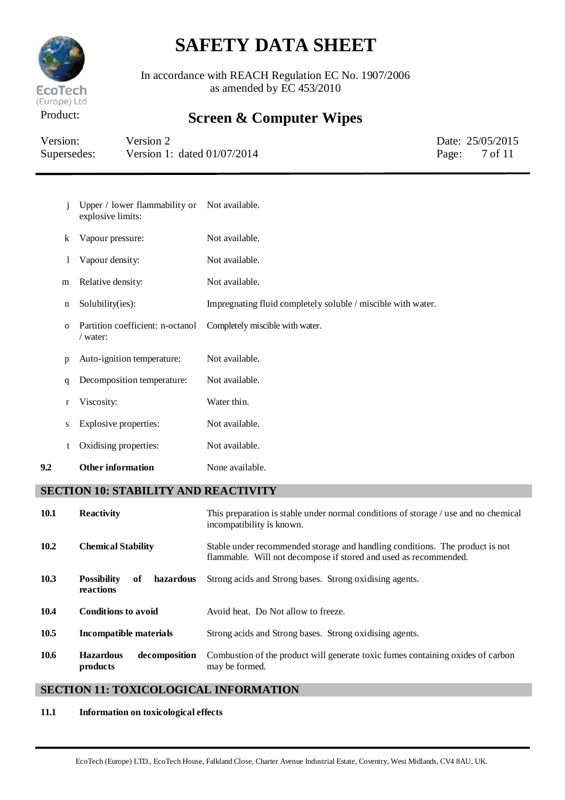

In accordance with REACH Regulation EC No. 1907/2006 as amended by EC 453/2010

## Product: **Screen & Computer Wipes**

| Version:    | Version 2                     | Date: 25/05/2015         |
|-------------|-------------------------------|--------------------------|
| Supersedes: | Version 1: dated $01/07/2014$ | Page: $7 \text{ of } 11$ |

| 9.2 |             | <b>Other information</b>                             | None available.                                              |
|-----|-------------|------------------------------------------------------|--------------------------------------------------------------|
|     | t           | Oxidising properties:                                | Not available.                                               |
|     | S           | Explosive properties:                                | Not available.                                               |
|     | r           | Viscosity:                                           | Water thin.                                                  |
|     | q           | Decomposition temperature:                           | Not available.                                               |
|     | p           | Auto-ignition temperature:                           | Not available.                                               |
|     | $\Omega$    | Partition coefficient: n-octanol<br>$\sqrt{water}$ : | Completely miscible with water.                              |
|     | $\mathbf n$ | Solubility(ies):                                     | Impregnating fluid completely soluble / miscible with water. |
|     | m           | Relative density:                                    | Not available.                                               |
|     | 1           | Vapour density:                                      | Not available.                                               |
|     | k           | Vapour pressure:                                     | Not available.                                               |
|     | Ť           | Upper / lower flammability or<br>explosive limits:   | Not available.                                               |

#### **SECTION 10: STABILITY AND REACTIVITY**

| <b>10.1</b> | <b>Reactivity</b>                                  | This preparation is stable under normal conditions of storage / use and no chemical<br>incompatibility is known.                                 |
|-------------|----------------------------------------------------|--------------------------------------------------------------------------------------------------------------------------------------------------|
| 10.2        | <b>Chemical Stability</b>                          | Stable under recommended storage and handling conditions. The product is not<br>flammable. Will not decompose if stored and used as recommended. |
| 10.3        | <b>Possibility</b><br>hazardous<br>of<br>reactions | Strong acids and Strong bases. Strong oxidising agents.                                                                                          |
| 10.4        | <b>Conditions to avoid</b>                         | Avoid heat. Do Not allow to freeze.                                                                                                              |
| 10.5        | Incompatible materials                             | Strong acids and Strong bases. Strong oxidising agents.                                                                                          |
| 10.6        | decomposition<br><b>Hazardous</b><br>products      | Combustion of the product will generate toxic fumes containing oxides of carbon<br>may be formed.                                                |

#### **SECTION 11: TOXICOLOGICAL INFORMATION**

#### **11.1 Information on toxicological effects**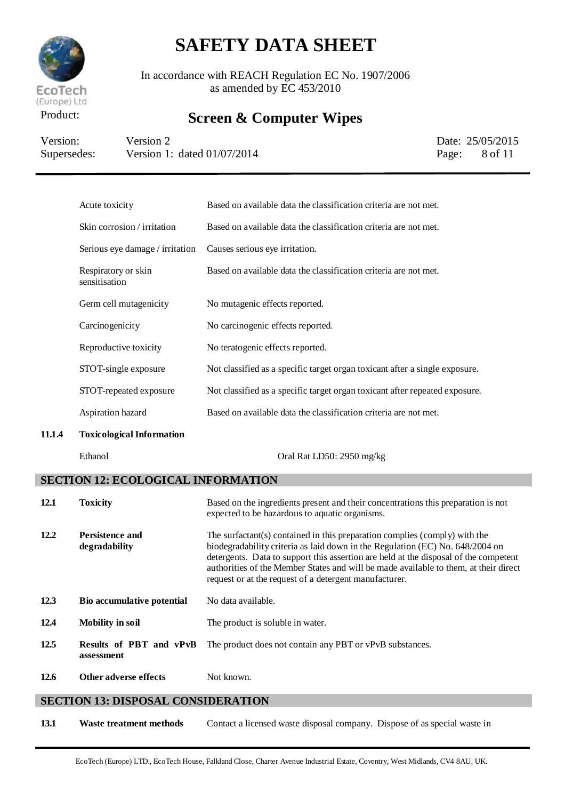

In accordance with REACH Regulation EC No. 1907/2006 as amended by EC 453/2010

## Product: **Screen & Computer Wipes**

| Version:    | Version 2                     | Date: 25/05/2015         |
|-------------|-------------------------------|--------------------------|
| Supersedes: | Version 1: dated $01/07/2014$ | Page: $8 \text{ of } 11$ |

| Acute toxicity                       | Based on available data the classification criteria are not met.            |
|--------------------------------------|-----------------------------------------------------------------------------|
| Skin corrosion / irritation          | Based on available data the classification criteria are not met.            |
| Serious eye damage / irritation      | Causes serious eye irritation.                                              |
| Respiratory or skin<br>sensitisation | Based on available data the classification criteria are not met.            |
| Germ cell mutagenicity               | No mutagenic effects reported.                                              |
| Carcinogenicity                      | No carcinogenic effects reported.                                           |
| Reproductive toxicity                | No teratogenic effects reported.                                            |
| STOT-single exposure                 | Not classified as a specific target organ toxicant after a single exposure. |
| STOT-repeated exposure               | Not classified as a specific target organ toxicant after repeated exposure. |
| Aspiration hazard                    | Based on available data the classification criteria are not met.            |
| <b>Toxicological Information</b>     |                                                                             |

**11.1.4** 

Ethanol Oral Rat LD50: 2950 mg/kg

### **SECTION 12: ECOLOGICAL INFORMATION**

| <b>12.1</b> | <b>Toxicity</b>                       | Based on the ingredients present and their concentrations this preparation is not<br>expected to be hazardous to aquatic organisms.                                                                                                                                                                                                                                                                   |
|-------------|---------------------------------------|-------------------------------------------------------------------------------------------------------------------------------------------------------------------------------------------------------------------------------------------------------------------------------------------------------------------------------------------------------------------------------------------------------|
| 12.2        | Persistence and<br>degradability      | The surfactant(s) contained in this preparation complies (comply) with the<br>biodegradability criteria as laid down in the Regulation (EC) No. 648/2004 on<br>detergents. Data to support this assertion are held at the disposal of the competent<br>authorities of the Member States and will be made available to them, at their direct<br>request or at the request of a detergent manufacturer. |
| 12.3        | <b>Bio accumulative potential</b>     | No data available.                                                                                                                                                                                                                                                                                                                                                                                    |
| 12.4        | <b>Mobility in soil</b>               | The product is soluble in water.                                                                                                                                                                                                                                                                                                                                                                      |
| 12.5        | Results of PBT and vPvB<br>assessment | The product does not contain any PBT or vPvB substances.                                                                                                                                                                                                                                                                                                                                              |
| 12.6        | <b>Other adverse effects</b>          | Not known.                                                                                                                                                                                                                                                                                                                                                                                            |

#### **SECTION 13: DISPOSAL CONSIDERATION**

**13.1 Waste treatment methods** Contact a licensed waste disposal company. Dispose of as special waste in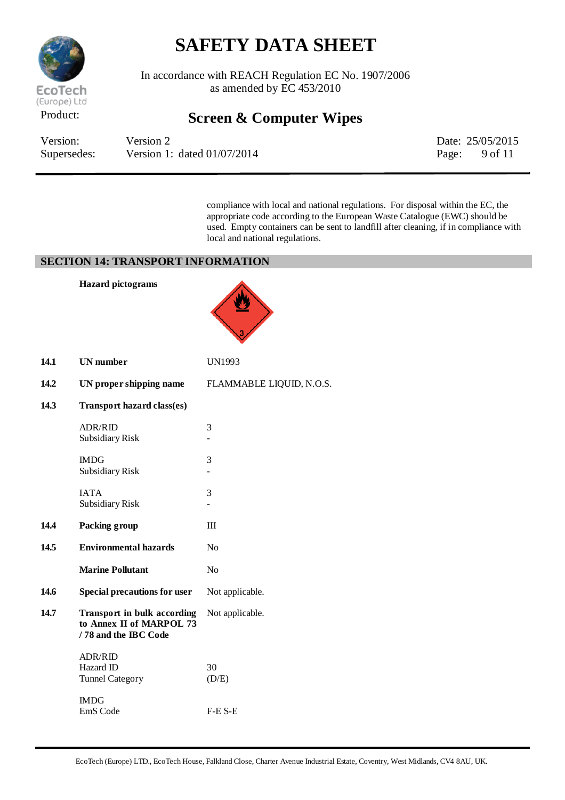

In accordance with REACH Regulation EC No. 1907/2006 as amended by EC 453/2010

### Product: **Screen & Computer Wipes**

| Version:    | Version 2                     | Date: 25/05/2015         |
|-------------|-------------------------------|--------------------------|
| Supersedes: | Version 1: dated $01/07/2014$ | Page: $9 \text{ of } 11$ |

compliance with local and national regulations. For disposal within the EC, the appropriate code according to the European Waste Catalogue (EWC) should be used. Empty containers can be sent to landfill after cleaning, if in compliance with local and national regulations.

#### **SECTION 14: TRANSPORT INFORMATION**

|      | <b>Hazard</b> pictograms                                                               |                          |
|------|----------------------------------------------------------------------------------------|--------------------------|
| 14.1 | <b>UN</b> number                                                                       | UN1993                   |
| 14.2 | UN proper shipping name                                                                | FLAMMABLE LIQUID, N.O.S. |
| 14.3 | Transport hazard class(es)                                                             |                          |
|      | <b>ADR/RID</b><br>Subsidiary Risk                                                      | 3                        |
|      | <b>IMDG</b><br>Subsidiary Risk                                                         | 3                        |
|      | <b>IATA</b><br>Subsidiary Risk                                                         | 3                        |
| 14.4 | Packing group                                                                          | III                      |
| 14.5 | <b>Environmental hazards</b>                                                           | N <sub>0</sub>           |
|      | <b>Marine Pollutant</b>                                                                | N <sub>o</sub>           |
| 14.6 | <b>Special precautions for user</b>                                                    | Not applicable.          |
| 14.7 | <b>Transport in bulk according</b><br>to Annex II of MARPOL 73<br>/78 and the IBC Code | Not applicable.          |
|      | <b>ADR/RID</b><br>Hazard ID<br><b>Tunnel Category</b>                                  | 30<br>(D/E)              |
|      | <b>IMDG</b><br>EmS Code                                                                | $F-E$ S-E                |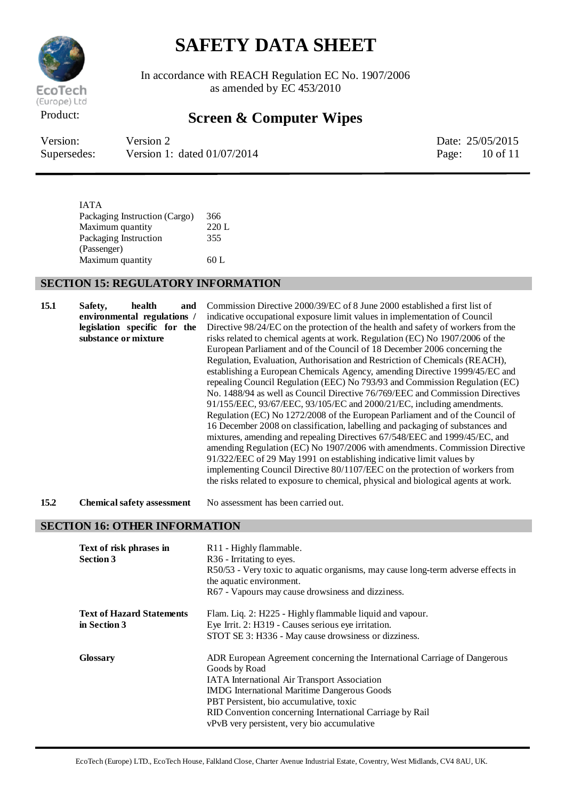

In accordance with REACH Regulation EC No. 1907/2006 as amended by EC 453/2010

### Product: **Screen & Computer Wipes**

| Version:    | Version 2                     |       | Date: 25/05/2015 |
|-------------|-------------------------------|-------|------------------|
| Supersedes: | Version 1: dated $01/07/2014$ | Page: | 10 of 11         |

IATA Packaging Instruction (Cargo) 366 Maximum quantity 220 L Packaging Instruction (Passenger) 355 Maximum quantity 60 L

#### **SECTION 15: REGULATORY INFORMATION**

| 15.1 | health<br>Safety,<br>and<br>environmental regulations /<br>legislation specific for the<br>substance or mixture | Commission Directive 2000/39/EC of 8 June 2000 established a first list of<br>indicative occupational exposure limit values in implementation of Council<br>Directive 98/24/EC on the protection of the health and safety of workers from the<br>risks related to chemical agents at work. Regulation (EC) No 1907/2006 of the<br>European Parliament and of the Council of 18 December 2006 concerning the<br>Regulation, Evaluation, Authorisation and Restriction of Chemicals (REACH),<br>establishing a European Chemicals Agency, amending Directive 1999/45/EC and<br>repealing Council Regulation (EEC) No 793/93 and Commission Regulation (EC)<br>No. 1488/94 as well as Council Directive 76/769/EEC and Commission Directives<br>91/155/EEC, 93/67/EEC, 93/105/EC and 2000/21/EC, including amendments.<br>Regulation (EC) No 1272/2008 of the European Parliament and of the Council of<br>16 December 2008 on classification, labelling and packaging of substances and<br>mixtures, amending and repealing Directives 67/548/EEC and 1999/45/EC, and<br>amending Regulation (EC) No 1907/2006 with amendments. Commission Directive<br>91/322/EEC of 29 May 1991 on establishing indicative limit values by<br>implementing Council Directive 80/1107/EEC on the protection of workers from<br>the risks related to exposure to chemical, physical and biological agents at work. |
|------|-----------------------------------------------------------------------------------------------------------------|--------------------------------------------------------------------------------------------------------------------------------------------------------------------------------------------------------------------------------------------------------------------------------------------------------------------------------------------------------------------------------------------------------------------------------------------------------------------------------------------------------------------------------------------------------------------------------------------------------------------------------------------------------------------------------------------------------------------------------------------------------------------------------------------------------------------------------------------------------------------------------------------------------------------------------------------------------------------------------------------------------------------------------------------------------------------------------------------------------------------------------------------------------------------------------------------------------------------------------------------------------------------------------------------------------------------------------------------------------------------------------------------------|
| 15.2 | <b>Chemical safety assessment</b>                                                                               | No assessment has been carried out.                                                                                                                                                                                                                                                                                                                                                                                                                                                                                                                                                                                                                                                                                                                                                                                                                                                                                                                                                                                                                                                                                                                                                                                                                                                                                                                                                              |
|      | <b>SECTION 16: OTHER INFORMATION</b>                                                                            |                                                                                                                                                                                                                                                                                                                                                                                                                                                                                                                                                                                                                                                                                                                                                                                                                                                                                                                                                                                                                                                                                                                                                                                                                                                                                                                                                                                                  |
|      | Text of risk phrases in<br><b>Section 3</b>                                                                     | R11 - Highly flammable.<br>R <sub>36</sub> - Irritating to eyes.<br>R50/53 - Very toxic to aquatic organisms, may cause long-term adverse effects in<br>the aquatic environment.<br>R67 - Vapours may cause drowsiness and dizziness.                                                                                                                                                                                                                                                                                                                                                                                                                                                                                                                                                                                                                                                                                                                                                                                                                                                                                                                                                                                                                                                                                                                                                            |
|      | <b>Text of Hazard Statements</b><br>in Section 3                                                                | Flam. Liq. 2: H225 - Highly flammable liquid and vapour.<br>Eye Irrit. 2: H319 - Causes serious eye irritation.<br>STOT SE 3: H336 - May cause drowsiness or dizziness.                                                                                                                                                                                                                                                                                                                                                                                                                                                                                                                                                                                                                                                                                                                                                                                                                                                                                                                                                                                                                                                                                                                                                                                                                          |
|      | Glossary                                                                                                        | ADR European Agreement concerning the International Carriage of Dangerous<br>Goods by Road<br>IATA International Air Transport Association<br><b>IMDG</b> International Maritime Dangerous Goods<br>PBT Persistent, bio accumulative, toxic<br>RID Convention concerning International Carriage by Rail<br>vPvB very persistent, very bio accumulative                                                                                                                                                                                                                                                                                                                                                                                                                                                                                                                                                                                                                                                                                                                                                                                                                                                                                                                                                                                                                                           |